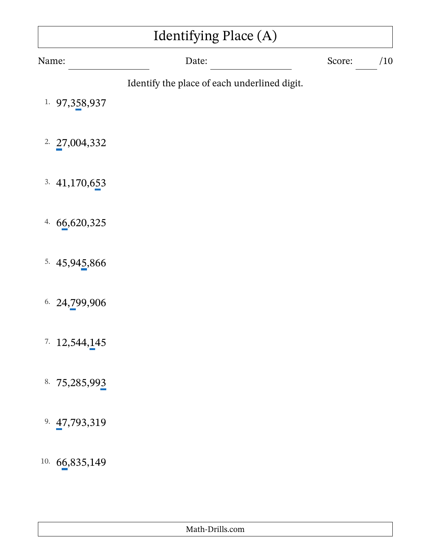| Identifying Place (A) |                                              |        |     |  |
|-----------------------|----------------------------------------------|--------|-----|--|
| Name:                 | Date:                                        | Score: | /10 |  |
| 1. 97, 358, 937       | Identify the place of each underlined digit. |        |     |  |
| 2.27,004,332          |                                              |        |     |  |
| 3.41,170,653          |                                              |        |     |  |
| 4. $66,620,325$       |                                              |        |     |  |
| 5.45,945,866          |                                              |        |     |  |
| 6.24,799,906          |                                              |        |     |  |
| 7.12,544,145          |                                              |        |     |  |
| 8. 75,285,993         |                                              |        |     |  |
| 9. 47,793,319         |                                              |        |     |  |
| 10. $66,835,149$      |                                              |        |     |  |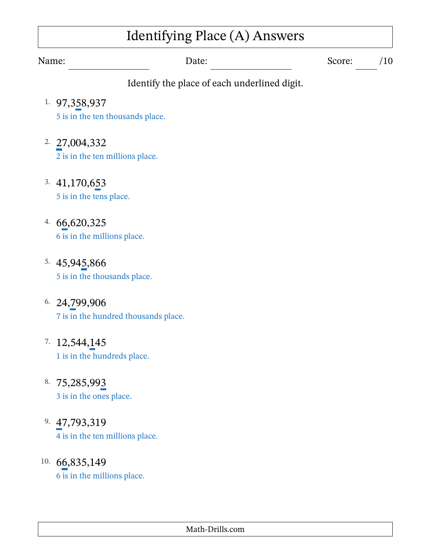# Identifying Place (A) Answers

Name: Date: Date: Score: /10

- 1. 97,358,937 5 is in the ten thousands place.
- 2. 27,004,332 2 is in the ten millions place.
- 3. 41,170,653 5 is in the tens place.
- 4. 66,620,325 6 is in the millions place.
- 5. 45,945,866 5 is in the thousands place.
- 6. 24,799,906 7 is in the hundred thousands place.
- $7. 12,544,145$ 1 is in the hundreds place.
- 8. 75,285,993 3 is in the ones place.
- 9. 47,793,319 4 is in the ten millions place.
- 10. 66,835,149 6 is in the millions place.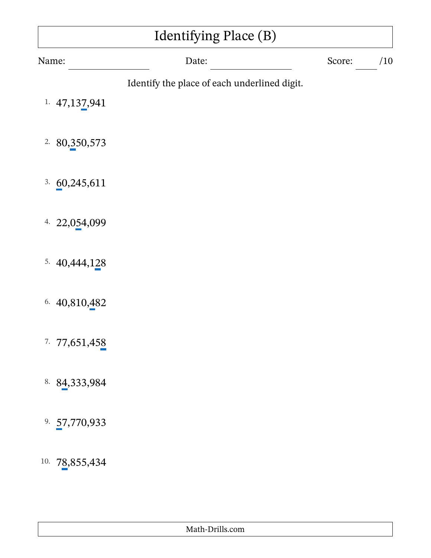| Identifying Place (B) |                                              |        |     |  |
|-----------------------|----------------------------------------------|--------|-----|--|
| Name:                 | Date:                                        | Score: | /10 |  |
|                       | Identify the place of each underlined digit. |        |     |  |
| 1. $47,137,941$       |                                              |        |     |  |
| 2.80,350,573          |                                              |        |     |  |
|                       |                                              |        |     |  |
| 3.60,245,611          |                                              |        |     |  |
| 4. 22,054,099         |                                              |        |     |  |
|                       |                                              |        |     |  |
| 5. $40,444,128$       |                                              |        |     |  |
| 6. $40,810,482$       |                                              |        |     |  |
|                       |                                              |        |     |  |
| 7.77,651,458          |                                              |        |     |  |
| 8. 84, 333, 984       |                                              |        |     |  |
|                       |                                              |        |     |  |
| 9. 57,770,933         |                                              |        |     |  |
| 10. 78,855,434        |                                              |        |     |  |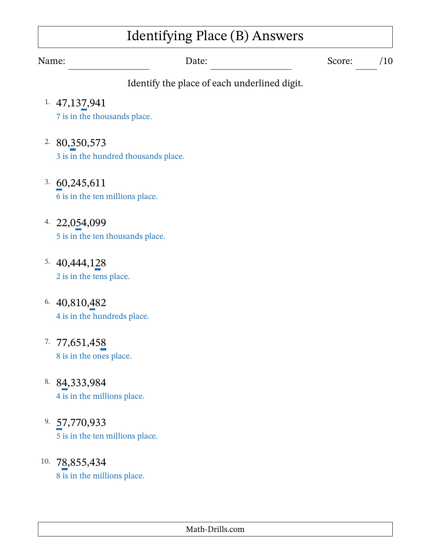### Identifying Place (B) Answers

Name: Date: Date: Score: /10

- 1. 47,137,941 7 is in the thousands place.
- 2. 80,350,573 3 is in the hundred thousands place.
- 3. 60,245,611 6 is in the ten millions place.
- 4. 22,054,099 5 is in the ten thousands place.
- 5. 40,444,128 2 is in the tens place.
- 6. 40,810,482 4 is in the hundreds place.
- 7. 77,651,458 8 is in the ones place.
- 8. 84,333,984 4 is in the millions place.
- 9. 57,770,933 5 is in the ten millions place.
- 10. 78,855,434 8 is in the millions place.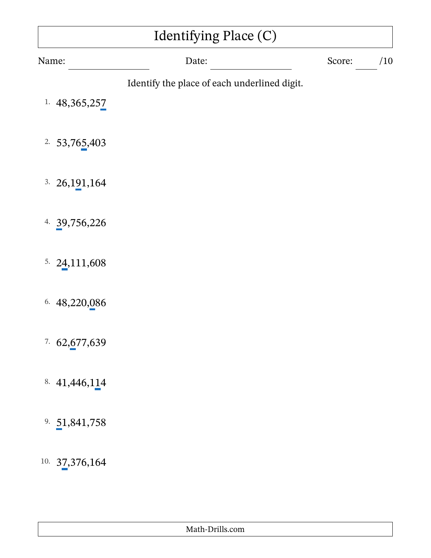| Identifying Place (C) |                                              |        |     |  |
|-----------------------|----------------------------------------------|--------|-----|--|
| Name:                 | Date:                                        | Score: | /10 |  |
|                       | Identify the place of each underlined digit. |        |     |  |
| 1. $48,365,257$       |                                              |        |     |  |
| 2.53,765,403          |                                              |        |     |  |
|                       |                                              |        |     |  |
| 26, 191, 164<br>3.    |                                              |        |     |  |
| 4. $39,756,226$       |                                              |        |     |  |
|                       |                                              |        |     |  |
| 5. $24,111,608$       |                                              |        |     |  |
| 6. 48,220,086         |                                              |        |     |  |
|                       |                                              |        |     |  |
| 7.62,677,639          |                                              |        |     |  |
| 8. $41,446,114$       |                                              |        |     |  |
|                       |                                              |        |     |  |
| 9. $51,841,758$       |                                              |        |     |  |
| 10.37,376,164         |                                              |        |     |  |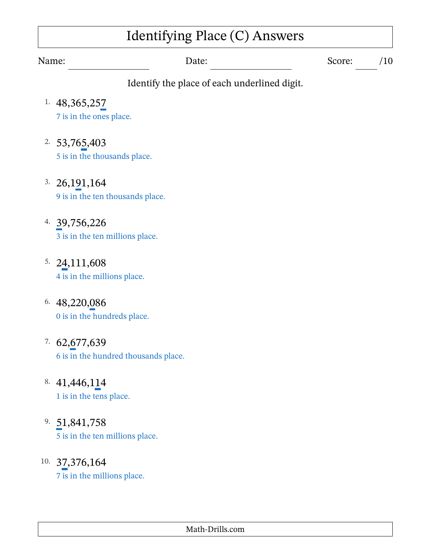# Identifying Place (C) Answers

Name: Date: Date: Score: /10

- 1. 48,365,257 7 is in the ones place.
- 2. 53,765,403 5 is in the thousands place.
- 3. 26,191,164 9 is in the ten thousands place.
- 4. 39,756,226 3 is in the ten millions place.
- 5. 24,111,608 4 is in the millions place.
- 6. 48,220,086 0 is in the hundreds place.
- 7. 62,677,639 6 is in the hundred thousands place.
- 8. 41,446,114 1 is in the tens place.
- 9. 51,841,758 5 is in the ten millions place.
- 10. 37,376,164 7 is in the millions place.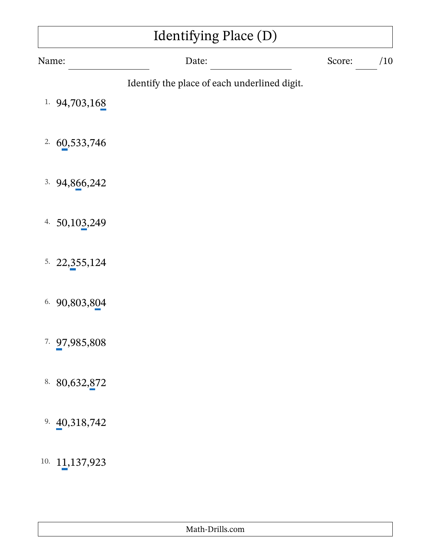| Identifying Place (D) |                                              |        |     |
|-----------------------|----------------------------------------------|--------|-----|
| Name:                 | Date:                                        | Score: | /10 |
| 94,703,168<br>1.      | Identify the place of each underlined digit. |        |     |
| 2.60,533,746          |                                              |        |     |
| 94,866,242<br>3.      |                                              |        |     |
| 4. $50,103,249$       |                                              |        |     |
| 5.22,355,124          |                                              |        |     |
| 90,803,804<br>6.      |                                              |        |     |
| 7.97,985,808          |                                              |        |     |
| 8. 80,632,872         |                                              |        |     |
| 9. $40,318,742$       |                                              |        |     |
| 10.11,137,923         |                                              |        |     |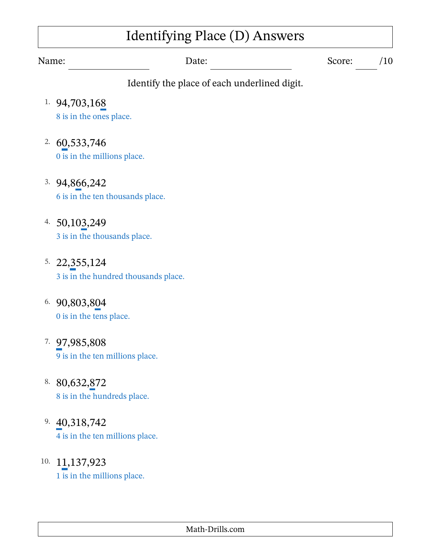# Identifying Place (D) Answers

Name: Date: Date: Score: /10

- 1. 94,703,168 8 is in the ones place.
- 2. 60,533,746 0 is in the millions place.
- 3. 94,866,242 6 is in the ten thousands place.
- 4. 50,103,249 3 is in the thousands place.
- 5. 22,355,124 3 is in the hundred thousands place.
- 6. 90,803,804 0 is in the tens place.
- 7. 97,985,808 9 is in the ten millions place.
- 8. 80,632,872 8 is in the hundreds place.
- 9. 40,318,742 4 is in the ten millions place.
- 10. 11,137,923 1 is in the millions place.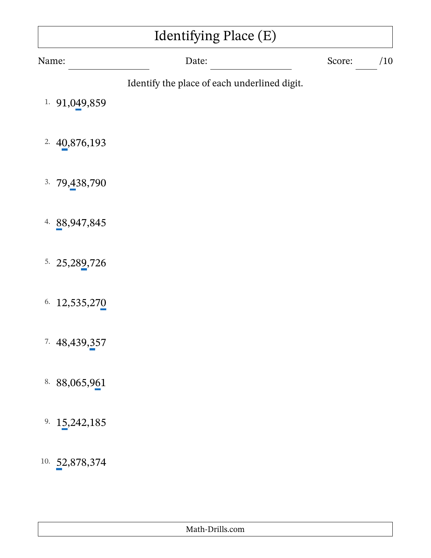| Identifying Place (E)   |                                              |        |     |
|-------------------------|----------------------------------------------|--------|-----|
| Name:                   | Date:                                        | Score: | /10 |
| 91,049,859<br>1.        | Identify the place of each underlined digit. |        |     |
| 2.40,876,193            |                                              |        |     |
| 3.79,438,790            |                                              |        |     |
| 4. 88,947,845           |                                              |        |     |
| 5. 25, 289, 726         |                                              |        |     |
| 6. 12,535,270           |                                              |        |     |
| <sup>7</sup> 48,439,357 |                                              |        |     |
| 8. 88,065,961           |                                              |        |     |
| 9. $15,242,185$         |                                              |        |     |
| 10.52,878,374           |                                              |        |     |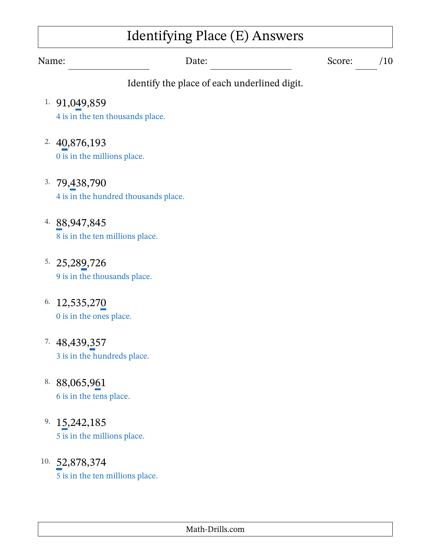## Identifying Place (E) Answers

Name: Date: Date: Score: /10

- 1. 91,049,859 4 is in the ten thousands place.
- 2. 40,876,193 0 is in the millions place.
- 3. 79,438,790 4 is in the hundred thousands place.
- 4. 88,947,845 8 is in the ten millions place.
- 5. 25,289,726 9 is in the thousands place.
- 6. 12,535,270 0 is in the ones place.
- 7. 48,439,357 3 is in the hundreds place.
- 8. 88,065,961 6 is in the tens place.
- 9. 15,242,185 5 is in the millions place.
- 10. 52,878,374 5 is in the ten millions place.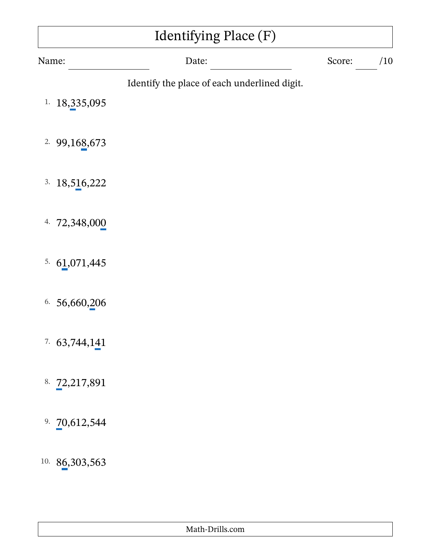| Identifying Place (F) |                                              |        |     |
|-----------------------|----------------------------------------------|--------|-----|
| Name:                 | Date:                                        | Score: | /10 |
| 18,335,095<br>1.      | Identify the place of each underlined digit. |        |     |
| 2.99,168,673          |                                              |        |     |
| 18,516,222<br>3.      |                                              |        |     |
| 4. 72,348,000         |                                              |        |     |
| 5.61,071,445          |                                              |        |     |
| 6.56,660,206          |                                              |        |     |
| 7.63,744,141          |                                              |        |     |
| 8. 72,217,891         |                                              |        |     |
| 9. $70,612,544$       |                                              |        |     |
| 10. 86,303,563        |                                              |        |     |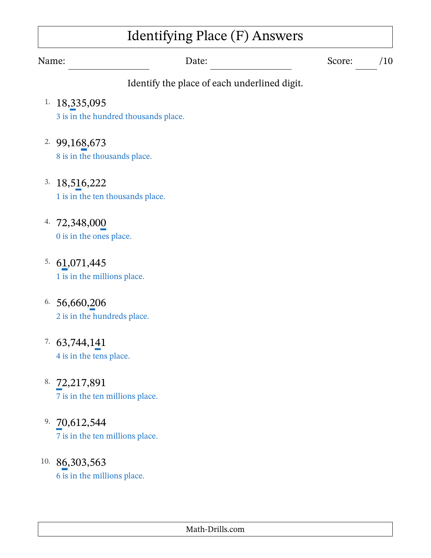# Identifying Place (F) Answers

Name: Date: Date: Score: /10

- 1. 18,335,095 3 is in the hundred thousands place.
- 2. 99,168,673 8 is in the thousands place.
- 3. 18,516,222 1 is in the ten thousands place.
- 4. 72,348,000 0 is in the ones place.
- 5. 61,071,445 1 is in the millions place.
- 6. 56,660,206 2 is in the hundreds place.
- 7. 63,744,141 4 is in the tens place.
- 8. 72,217,891 7 is in the ten millions place.
- 9. 70,612,544 7 is in the ten millions place.
- 10. 86,303,563 6 is in the millions place.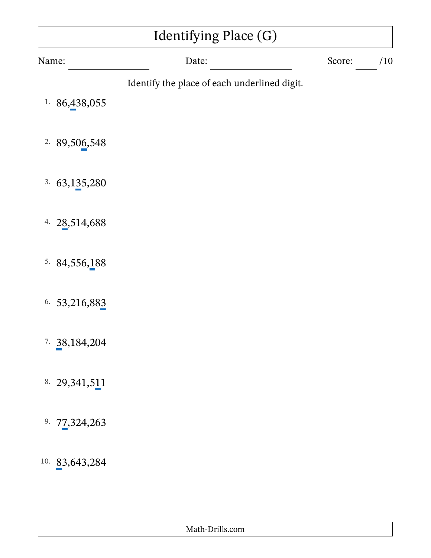| Identifying Place (G) |                                              |        |     |
|-----------------------|----------------------------------------------|--------|-----|
| Name:                 | Date:                                        | Score: | /10 |
| 1. $86,438,055$       | Identify the place of each underlined digit. |        |     |
| 2.89,506,548          |                                              |        |     |
| 3.<br>63, 135, 280    |                                              |        |     |
| 4. $28,514,688$       |                                              |        |     |
| 5.84,556,188          |                                              |        |     |
| 6.53,216,883          |                                              |        |     |
| $7. \ \ 38,184,204$   |                                              |        |     |
| 8. 29, 341, 511       |                                              |        |     |
| 9. $77,324,263$       |                                              |        |     |
| 10.83,643,284         |                                              |        |     |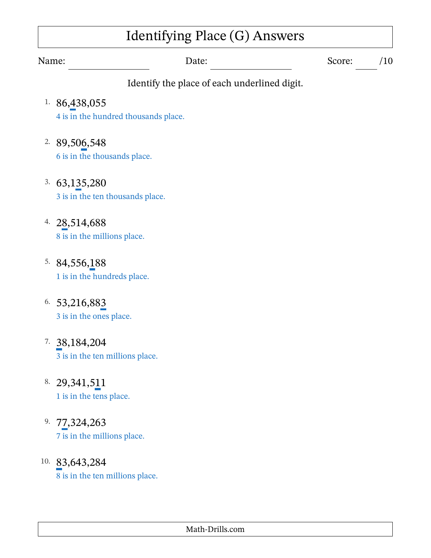# Identifying Place (G) Answers

- 1. 86,438,055 4 is in the hundred thousands place.
- 2. 89,506,548 6 is in the thousands place.
- 3. 63,135,280 3 is in the ten thousands place.
- 4. 28,514,688 8 is in the millions place.
- 5. 84,556,188 1 is in the hundreds place.
- 6. 53,216,883 3 is in the ones place.
- 7. 38,184,204 3 is in the ten millions place.
- 8. 29,341,511 1 is in the tens place.
- 9. 77,324,263 7 is in the millions place.
- 10. 83,643,284 8 is in the ten millions place.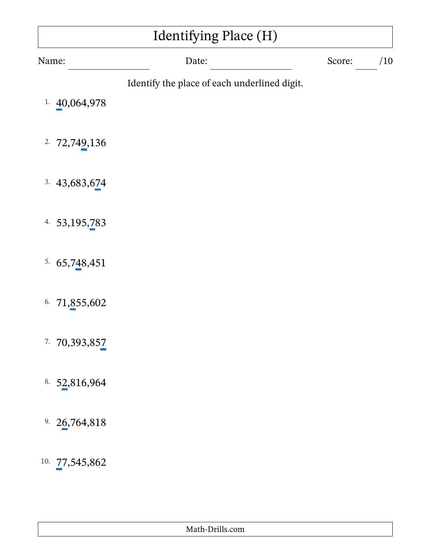| Identifying Place (H)    |                                              |        |     |  |
|--------------------------|----------------------------------------------|--------|-----|--|
| Name:                    | Date:                                        | Score: | /10 |  |
| <sup>1.</sup> 40,064,978 | Identify the place of each underlined digit. |        |     |  |
| 2.72,749,136             |                                              |        |     |  |
| 3.43,683,674             |                                              |        |     |  |
| 4. 53, 195, 783          |                                              |        |     |  |
| 5.65,748,451             |                                              |        |     |  |
| 71,855,602<br>6.         |                                              |        |     |  |
| 7.70,393,857             |                                              |        |     |  |
| 8. $52,816,964$          |                                              |        |     |  |
| 9. $26,764,818$          |                                              |        |     |  |
| 10. 77,545,862           |                                              |        |     |  |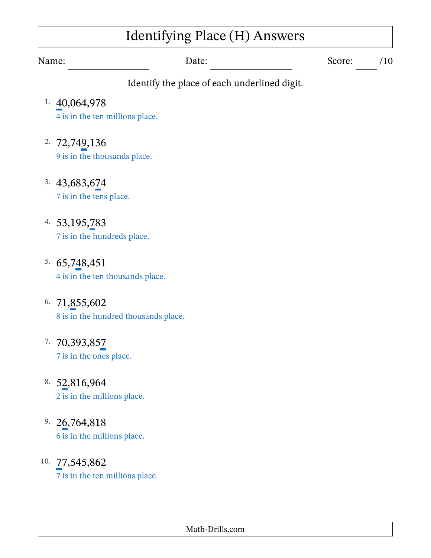## Identifying Place (H) Answers

Name: Date: Date: Score: /10

- 1. 40,064,978 4 is in the ten millions place.
- 2. 72,749,136 9 is in the thousands place.
- 3. 43,683,674 7 is in the tens place.
- 4. 53,195,783 7 is in the hundreds place.
- 5. 65,748,451 4 is in the ten thousands place.
- 6. 71,855,602 8 is in the hundred thousands place.
- 7. 70,393,857 7 is in the ones place.
- 8. 52,816,964 2 is in the millions place.
- 9. 26,764,818 6 is in the millions place.
- 10. 77,545,862 7 is in the ten millions place.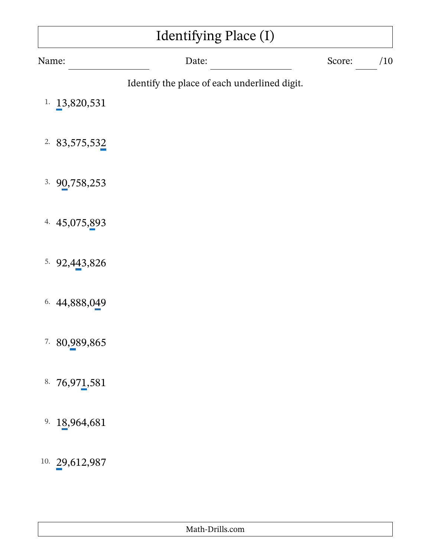| Identifying Place (I)    |                                              |        |     |  |
|--------------------------|----------------------------------------------|--------|-----|--|
| Name:                    | Date:                                        | Score: | /10 |  |
|                          | Identify the place of each underlined digit. |        |     |  |
| <sup>1.</sup> 13,820,531 |                                              |        |     |  |
| 2.83,575,532             |                                              |        |     |  |
| 3.90,758,253             |                                              |        |     |  |
| 4. 45,075,893            |                                              |        |     |  |
| 5.92,443,826             |                                              |        |     |  |
| 6. 44,888,049            |                                              |        |     |  |
| 7. 80,989,865            |                                              |        |     |  |
| 8. $76,971,581$          |                                              |        |     |  |
| 18,964,681<br>9.         |                                              |        |     |  |
| 10. 29,612,987           |                                              |        |     |  |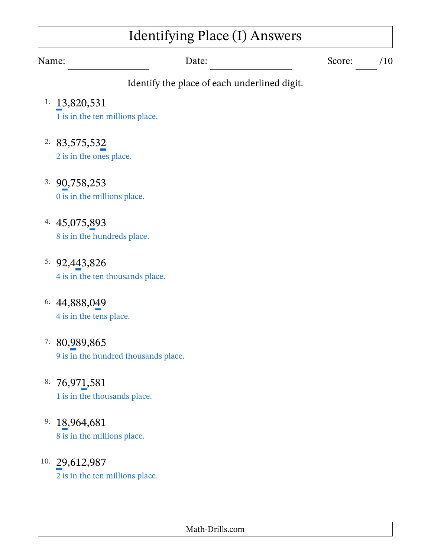# Identifying Place (I) Answers

Name: Date: Date: Score: /10

- 1. 13,820,531 1 is in the ten millions place.
- 2. 83,575,532 2 is in the ones place.
- 3. 90,758,253 0 is in the millions place.
- 4. 45,075,893 8 is in the hundreds place.
- 5. 92,443,826 4 is in the ten thousands place.
- 6. 44,888,049 4 is in the tens place.
- 7. 80,989,865 9 is in the hundred thousands place.
- 8. 76,971,581 1 is in the thousands place.
- 9. 18,964,681 8 is in the millions place.
- 10. 29,612,987 2 is in the ten millions place.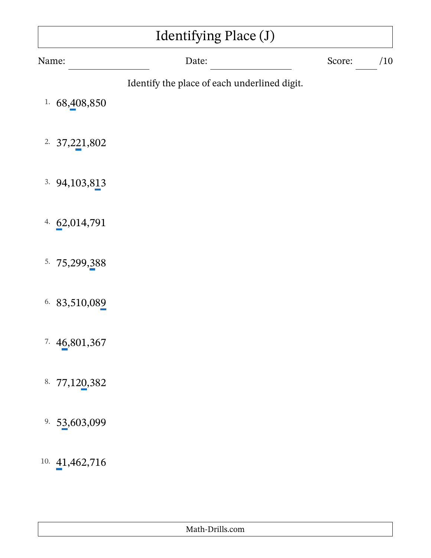| Identifying Place (J) |                                              |        |     |  |
|-----------------------|----------------------------------------------|--------|-----|--|
| Name:                 | Date:                                        | Score: | /10 |  |
| 1. $68,408,850$       | Identify the place of each underlined digit. |        |     |  |
| 2.37,221,802          |                                              |        |     |  |
| 3.94,103,813          |                                              |        |     |  |
| 4. $62,014,791$       |                                              |        |     |  |
| 5.<br>75,299,388      |                                              |        |     |  |
| 6. 83,510,089         |                                              |        |     |  |
| 7.46,801,367          |                                              |        |     |  |
| 8. 77,120,382         |                                              |        |     |  |
| 53,603,099<br>9.      |                                              |        |     |  |
| 10.41,462,716         |                                              |        |     |  |